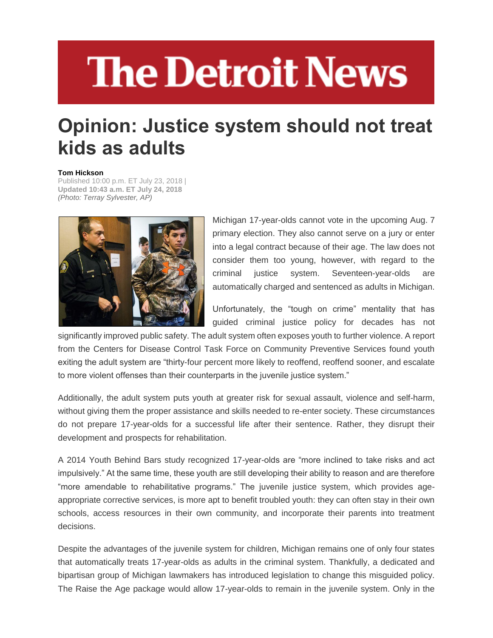## **The Detroit News**

## **Opinion: Justice system should not treat kids as adults**

## **Tom Hickson**

Published 10:00 p.m. ET July 23, 2018 | **Updated 10:43 a.m. ET July 24, 2018** *(Photo: Terray Sylvester, AP)*



Michigan 17-year-olds cannot vote in the upcoming Aug. 7 primary election. They also cannot serve on a jury or enter into a legal contract because of their age. The law does not consider them too young, however, with regard to the criminal justice system. Seventeen-year-olds are automatically charged and sentenced as adults in Michigan.

Unfortunately, the "tough on crime" mentality that has guided criminal justice policy for decades has not

significantly improved public safety. The adult system often exposes youth to further violence. A report from the Centers for Disease Control Task Force on Community Preventive Services found youth exiting the adult system are "thirty-four percent more likely to reoffend, reoffend sooner, and escalate to more violent offenses than their counterparts in the juvenile justice system."

Additionally, the adult system puts youth at greater risk for sexual assault, violence and self-harm, without giving them the proper assistance and skills needed to re-enter society. These circumstances do not prepare 17-year-olds for a successful life after their sentence. Rather, they disrupt their development and prospects for rehabilitation.

A 2014 Youth Behind Bars study recognized 17-year-olds are "more inclined to take risks and act impulsively." At the same time, these youth are still developing their ability to reason and are therefore "more amendable to rehabilitative programs." The juvenile justice system, which provides ageappropriate corrective services, is more apt to benefit troubled youth: they can often stay in their own schools, access resources in their own community, and incorporate their parents into treatment decisions.

Despite the advantages of the juvenile system for children, Michigan remains one of only four states that automatically treats 17-year-olds as adults in the criminal system. Thankfully, a dedicated and bipartisan group of Michigan lawmakers has introduced legislation to change this misguided policy. The Raise the Age package would allow 17-year-olds to remain in the juvenile system. Only in the